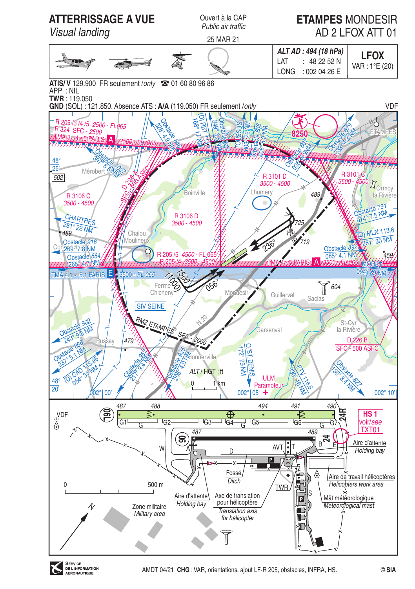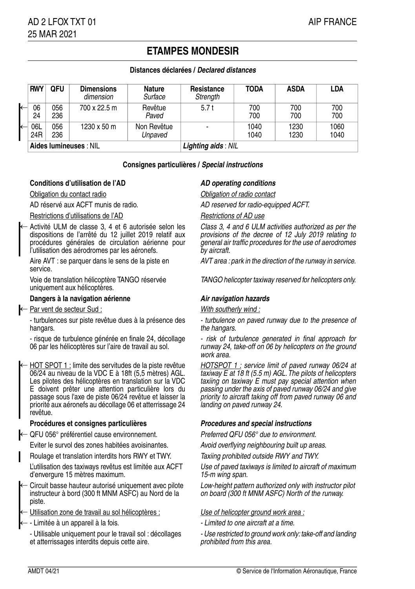# **ETAMPES MONDESIR**

## **Distances déclarées / Declared distances**

| $\leftarrow$<br>l← | <b>RWY</b>             | <b>QFU</b> | <b>Dimensions</b><br>dimension | <b>Nature</b><br>Surface | Resistance<br>Strength | TODA         | ASDA         | <b>LDA</b>   |
|--------------------|------------------------|------------|--------------------------------|--------------------------|------------------------|--------------|--------------|--------------|
|                    | 06<br>24               | 056<br>236 | 700 x 22.5 m                   | Revêtue<br>Paved         | 5.7t                   | 700<br>700   | 700<br>700   | 700<br>700   |
|                    | 06L<br>24R             | 056<br>236 | 1230 x 50 m                    | Non Revêtue<br>Unpaved   |                        | 1040<br>1040 | 1230<br>1230 | 1060<br>1040 |
|                    | Aides lumineuses : NIL |            |                                |                          | Lighting aids: NIL     |              |              |              |

### **Consignes particulières / Special instructions**

## **Conditions d'utilisation de l'AD AD AD** operating conditions

Obligation du contact radio Obligation of radio contact

←

## Restrictions d'utilisations de l'AD Restrictions of AD use

Activité ULM de classe 3, 4 et 6 autorisée selon les dispositions de l'arrêté du 12 juillet 2019 relatif aux procédures générales de circulation aérienne pour l'utilisation des aérodromes par les aéronefs.

service.

uniquement aux hélicoptères.

### **Dangers à la navigation aérienne Air navigation hazards**

### ← Par vent de secteur Sud : With southerly wind :

- turbulences sur piste revêtue dues à la présence des hangars.

- risque de turbulence générée en finale 24, décollage 06 par les hélicoptères sur l'aire de travail au sol.

HOT SPOT 1 : limite des servitudes de la piste revêtue 06/24 au niveau de la VDC E à 18ft (5,5 mètres) AGL. Les pilotes des hélicoptères en translation sur la VDC E doivent prêter une attention particulière lors du passage sous l'axe de piste 06/24 revêtue et laisser la priorité aux aéronefs au décollage 06 et atterrissage 24 revêtue. ←

### **Procédures et consignes particulières Procedures and special instructions**

← QFU 056° préférentiel cause environnement. Preferred QFU 056° due to environment.

Eviter le survol des zones habitées avoisinantes. Avoid overflying neighbouring built up areas.

- Roulage et translation interdits hors RWY et TWY. Taxiing prohibited outside RWY and TWY.
- L'utilisation des taxiways revêtus est limitée aux ACFT d'envergure 15 mètres maximum.
- Circuit basse hauteur autorisé uniquement avec pilote instructeur à bord (300 ft MNM ASFC) au Nord de la piste. ←
- Utilisation zone de travail au sol hélicoptères : Use of helicopter ground work area :
- Limitée à un appareil à la fois.  $\blacksquare$
- Utilisable uniquement pour le travail sol : décollages et atterrissages interdits depuis cette aire.

AD réservé aux ACFT munis de radio. AD reserved for radio-equipped ACFT.

Class 3, 4 and 6 ULM activities authorized as per the provisions of the decree of 12 July 2019 relating to general air traffic procedures for the use of aerodromes by aircraft.

Aire AVT : se parquer dans le sens de la piste en AVT area : park in the direction of the runway in service.

Voie de translation hélicoptère TANGO réservée TANGO helicopter taxiway reserved for helicopters only.

- turbulence on paved runway due to the presence of the hangars.

- risk of turbulence generated in final approach for runway 24, take-off on 06 by helicopters on the ground work area.

HOTSPOT 1 : service limit of paved runway 06/24 at  $\overline{taxiway}$  E at 18 ft (5.5 m) AGL. The pilots of helicopters taxiing on taxiway E must pay special attention when passing under the axis of paved runway 06/24 and give priority to aircraft taking off from paved runway 06 and landing on paved runway 24.

Use of paved taxiways is limited to aircraft of maximum 15-m wing span.

Low-height pattern authorized only with instructor pilot on board (300 ft MNM ASFC) North of the runway.

- 
- Use restricted to ground work only: take-off and landing prohibited from this area.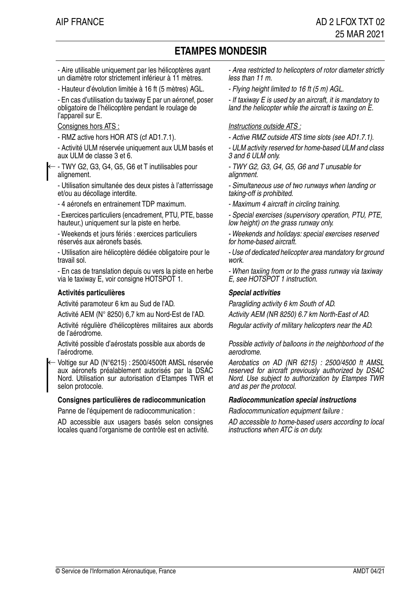# **ETAMPES MONDESIR**

- Aire utilisable uniquement par les hélicoptères ayant un diamètre rotor strictement inférieur à 11 mètres.

- Hauteur d'évolution limitée à 16 ft (5 mètres) AGL. Flying height limited to 16 ft (5 m) AGL.

- En cas d'utilisation du taxiway E par un aéronef, poser obligatoire de l'hélicoptère pendant le roulage de l'appareil sur E.

- Activité ULM réservée uniquement aux ULM basés et aux ULM de classe 3 et 6.

- TWY G2, G3, G4, G5, G6 et T inutilisables pour alignement. ←

- Utilisation simultanée des deux pistes à l'atterrissage et/ou au décollage interdite.

- 4 aéronefs en entrainement TDP maximum. - Maximum 4 aircraft in circling training.

- Exercices particuliers (encadrement, PTU, PTE, basse hauteur,) uniquement sur la piste en herbe.

- Weekends et jours fériés : exercices particuliers réservés aux aéronefs basés.

- Utilisation aire hélicoptère dédiée obligatoire pour le travail sol.

- En cas de translation depuis ou vers la piste en herbe via le taxiway E, voir consigne HOTSPOT 1.

### **Activités particulières Special activities**

Activité paramoteur 6 km au Sud de l'AD. Paragliding activity 6 km South of AD.

Activité AEM (N° 8250) 6,7 km au Nord-Est de l'AD. Activity AEM (NR 8250) 6.7 km North-East of AD.

Activité régulière d'hélicoptères militaires aux abords Regular activity of military helicopters near the AD. de l'aérodrome.

Activité possible d'aérostats possible aux abords de l'aérodrome.

Voltige sur AD (N°6215) : 2500/4500ft AMSL réservée aux aéronefs préalablement autorisés par la DSAC Nord. Utilisation sur autorisation d'Etampes TWR et selon protocole. ←

### **Consignes particulières de radiocommunication Radiocommunication special instructions**

Panne de l'équipement de radiocommunication : Radiocommunication equipment failure :

AD accessible aux usagers basés selon consignes locales quand l'organisme de contrôle est en activité.

- Area restricted to helicopters of rotor diameter strictly less than 11 m.

- If taxiway E is used by an aircraft, it is mandatory to land the helicopter while the aircraft is taxiing on E.

### Consignes hors ATS : Instructions outside ATS :

- RMZ active hors HOR ATS (cf AD1.7.1). - Active RMZ outside ATS time slots (see AD1.7.1).

- ULM activity reserved for home-based ULM and class 3 and 6 ULM only.

- TWY G2, G3, G4, G5, G6 and T unusable for alignment.

- Simultaneous use of two runways when landing or taking-off is prohibited.

- Special exercises (supervisory operation, PTU, PTE, low height) on the grass runway only.

- Weekends and holidays: special exercises reserved for home-based aircraft.

- Use of dedicated helicopter area mandatory for ground work.

- When taxiing from or to the grass runway via taxiway E, see HOTSPOT 1 instruction.

Possible activity of balloons in the neighborhood of the aerodrome.

Aerobatics on AD (NR 6215) : 2500/4500 ft AMSL reserved for aircraft previously authorized by DSAC Nord. Use subject to authorization by Etampes TWR and as per the protocol.

AD accessible to home-based users according to local instructions when ATC is on duty.